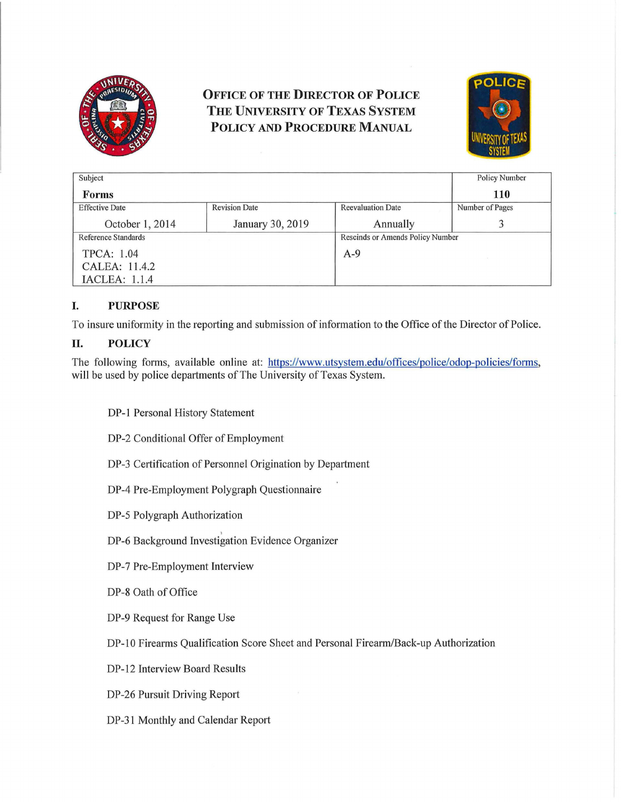

## OFFICE OF THE DIRECTOR OF POLICE THE UNIVERSITY OF TEXAS SYSTEM POLICY AND PROCEDURE MANUAL



| Subject               |                      |                                  | <b>Policy Number</b> |
|-----------------------|----------------------|----------------------------------|----------------------|
| <b>Forms</b>          |                      |                                  | <b>110</b>           |
| <b>Effective Date</b> | <b>Revision Date</b> | <b>Reevaluation Date</b>         | Number of Pages      |
| October 1, 2014       | January 30, 2019     | Annually                         |                      |
| Reference Standards   |                      | Rescinds or Amends Policy Number |                      |
| <b>TPCA: 1.04</b>     |                      | $A-9$                            |                      |
| CALEA: 11.4.2         |                      |                                  |                      |
| <b>IACLEA: 1.1.4</b>  |                      |                                  |                      |

## I. PURPOSE

To insure uniformity in the reporting and submission of information to the Office of the Director of Police.

## II. POLICY

The following forms, available online at: https://www.utsystem.edu/offices/police/odop-policies/forms, will be used by police departments of The University of Texas System.

DP-1 Personal History Statement

DP-2 Conditional Offer of Employment

DP-3 Certification of Personnel Origination by Department

DP-4 Pre-Employment Polygraph Questionnaire

DP-5 Polygraph Authorization

DP-6 Background Investigation Evidence Organizer

DP-7 Pre-Employment Interview

DP-8 Oath of Office

DP-9 Request for Range Use

DP-10 Firearms Qualification Score Sheet and Personal Firearm/Back-up Authorization

DP-12 Interview Board Results

DP-26 Pursuit Driving Report

DP-31 Monthly and Calendar Report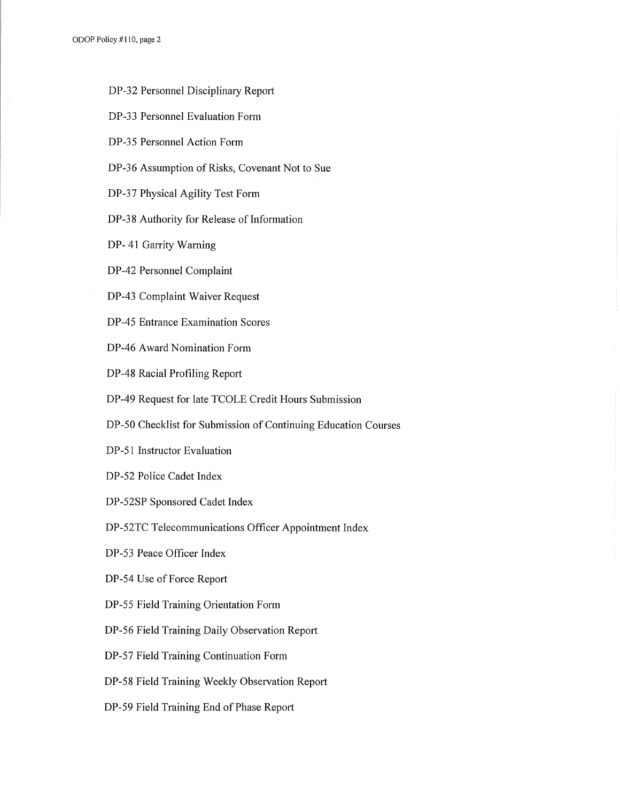ODOP Policy #110, page 2

- DP-32 Personnel Disciplinary Report
- DP-33 Personnel Evaluation Form
- DP-35 Personnel Action Form
- DP-36 Assumption of Risks, Covenant Not to Sue
- DP-37 Physical Agility Test Form
- DP-38 Authority for Release of Information
- DP- 41 Garrity Warning
- DP-42 Personnel Complaint
- DP-43 Complaint Waiver Request
- DP-45 Entrance Examination Scores
- DP-46 Award Nomination Form
- DP-48 Racial Profiling Report
- DP-49 Request for late TCOLE Credit Hours Submission
- DP-50 Checklist for Submission of Continuing Education Courses
- DP-51 Instructor Evaluation
- DP-52 Police Cadet Index
- DP-52SP Sponsored Cadet Index
- DP-52TC Telecommunications Officer Appointment Index
- DP-53 Peace Officer Index
- DP-54 Use of Force Report
- DP-55 Field Training Orientation Form
- DP-56 Field Training Daily Observation Report
- DP-57 Field Training Continuation Form
- DP-58 Field Training Weekly Observation Report
- DP-59 Field Training End of Phase Report